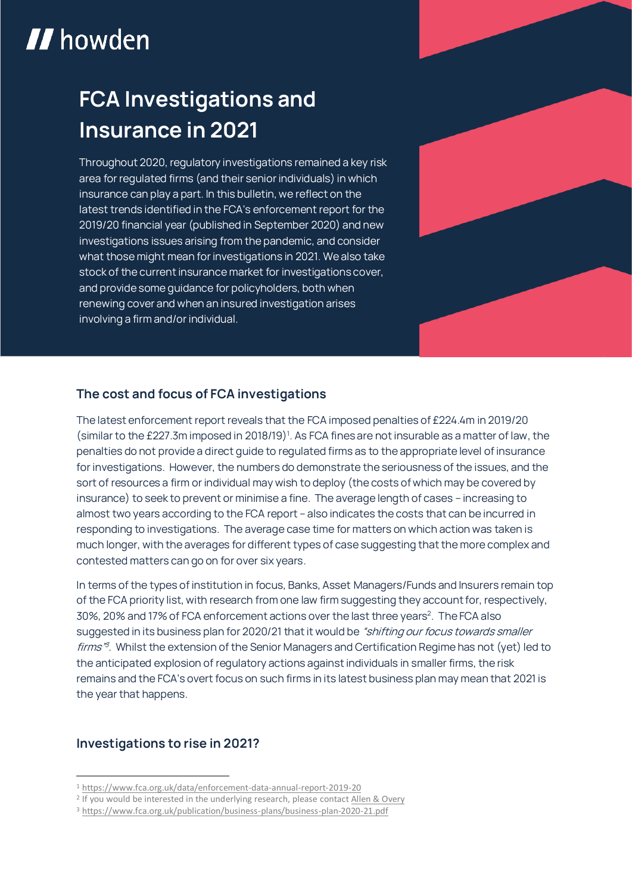# **II** howden

# **FCA Investigations and Insurance in 2021**

**Throughout 2020, regulatory investigations remained a key risk area for regulated firms (and their senior individuals) in which insurance can play a part. In this bulletin, we reflect on the latest trends identified in the FCA's enforcement report for the 2019/20 financial year (published in September 2020) and new investigations issues arising from the pandemic, and consider what those might mean for investigations in 2021. We also take stock of the current insurance market for investigations cover, and provide some guidance for policyholders, both when renewing cover and when an insured investigation arises involving a firm and/or individual.**



**The latest enforcement report reveals that the FCA imposed penalties of £224.4m in 2019/20 (similar to the £227.3m imposed in 2018/19)<sup>1</sup> . As FCA fines are not insurable as a matter of law, the penalties do not provide a direct guide to regulated firms as to the appropriate level of insurance for investigations. However, the numbers do demonstrate the seriousness of the issues, and the sort of resources a firm or individual may wish to deploy (the costs of which may be covered by insurance) to seek to prevent or minimise a fine. The average length of cases – increasing to almost two years according to the FCA report – also indicates the costs that can be incurred in responding to investigations. The average case time for matters on which action was taken is much longer, with the averages for different types of case suggesting that the more complex and contested matters can go on for over six years.**

**In terms of the types of institution in focus, Banks, Asset Managers/Funds and Insurers remain top of the FCA priority list, with research from one law firm suggesting they account for, respectively, 30%, 20% and 17% of FCA enforcement actions over the last three years<sup>2</sup> . The FCA also suggested in its business plan for 2020/21 that it would be "shifting our focus towards smaller firms" 3 . Whilst the extension of the Senior Managers and Certification Regime has not (yet) led to the anticipated explosion of regulatory actions against individuals in smaller firms, the risk remains and the FCA's overt focus on such firms in its latest business plan may mean that 2021 is the year that happens.**

### **Investigations to rise in 2021?**

1

<sup>1</sup> <https://www.fca.org.uk/data/enforcement-data-annual-report-2019-20>

<sup>&</sup>lt;sup>2</sup> If you would be interested in the underlying research, please contac[t Allen & Overy](mailto:litigationevents@allenovery.com?subject=FCA%20Investigations)

<sup>3</sup> <https://www.fca.org.uk/publication/business-plans/business-plan-2020-21.pdf>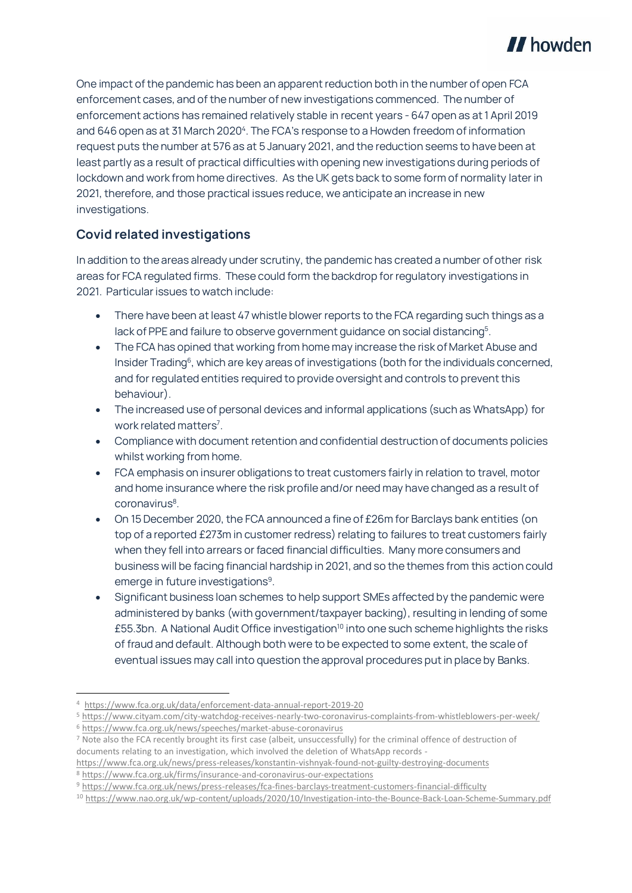

**One impact of the pandemic has been an apparent reduction both in the number of open FCA enforcement cases, and of the number of new investigations commenced. The number of enforcement actions has remained relatively stable in recent years - 647 open as at 1 April 2019 and 646 open as at 31 March 2020<sup>4</sup> . The FCA's response to a Howden freedom of information request puts the number at 576 as at 5 January 2021, and the reduction seems to have been at least partly as a result of practical difficulties with opening new investigations during periods of lockdown and work from home directives. As the UK gets back to some form of normality later in 2021, therefore, and those practical issues reduce, we anticipate an increase in new investigations.**

## **Covid related investigations**

**In addition to the areas already under scrutiny, the pandemic has created a number of other risk areas for FCA regulated firms. These could form the backdrop for regulatory investigations in 2021. Particular issues to watch include:**

- **There have been at least 47 whistle blower reports to the FCA regarding such things as a lack of PPE and failure to observe government guidance on social distancing<sup>5</sup> .**
- **The FCA has opined that working from home may increase the risk of Market Abuse and Insider Trading<sup>6</sup> , which are key areas of investigations (both for the individuals concerned, and for regulated entities required to provide oversight and controls to prevent this behaviour).**
- **The increased use of personal devices and informal applications (such as WhatsApp) for work related matters<sup>7</sup> .**
- **Compliance with document retention and confidential destruction of documents policies whilst working from home.**
- **FCA emphasis on insurer obligations to treat customers fairly in relation to travel, motor and home insurance where the risk profile and/or need may have changed as a result of coronavirus<sup>8</sup> .**
- **On 15 December 2020, the FCA announced a fine of £26m for Barclays bank entities (on top of a reported £273m in customer redress) relating to failures to treat customers fairly when they fell into arrears or faced financial difficulties. Many more consumers and business will be facing financial hardship in 2021, and so the themes from this action could emerge in future investigations<sup>9</sup> .**
- **Significant business loan schemes to help support SMEs affected by the pandemic were administered by banks (with government/taxpayer backing), resulting in lending of some £55.3bn. A National Audit Office investigation<sup>10</sup> into one such scheme highlights the risks of fraud and default. Although both were to be expected to some extent, the scale of eventual issues may call into question the approval procedures put in place by Banks.**

1

<sup>4</sup> <https://www.fca.org.uk/data/enforcement-data-annual-report-2019-20>

<sup>5</sup> <https://www.cityam.com/city-watchdog-receives-nearly-two-coronavirus-complaints-from-whistleblowers-per-week/> <sup>6</sup> <https://www.fca.org.uk/news/speeches/market-abuse-coronavirus>

<sup>7</sup> Note also the FCA recently brought its first case (albeit, unsuccessfully) for the criminal offence of destruction of documents relating to an investigation, which involved the deletion of WhatsApp records -

<https://www.fca.org.uk/news/press-releases/konstantin-vishnyak-found-not-guilty-destroying-documents> <sup>8</sup> <https://www.fca.org.uk/firms/insurance-and-coronavirus-our-expectations>

<sup>9</sup> <https://www.fca.org.uk/news/press-releases/fca-fines-barclays-treatment-customers-financial-difficulty>

<sup>10</sup> <https://www.nao.org.uk/wp-content/uploads/2020/10/Investigation-into-the-Bounce-Back-Loan-Scheme-Summary.pdf>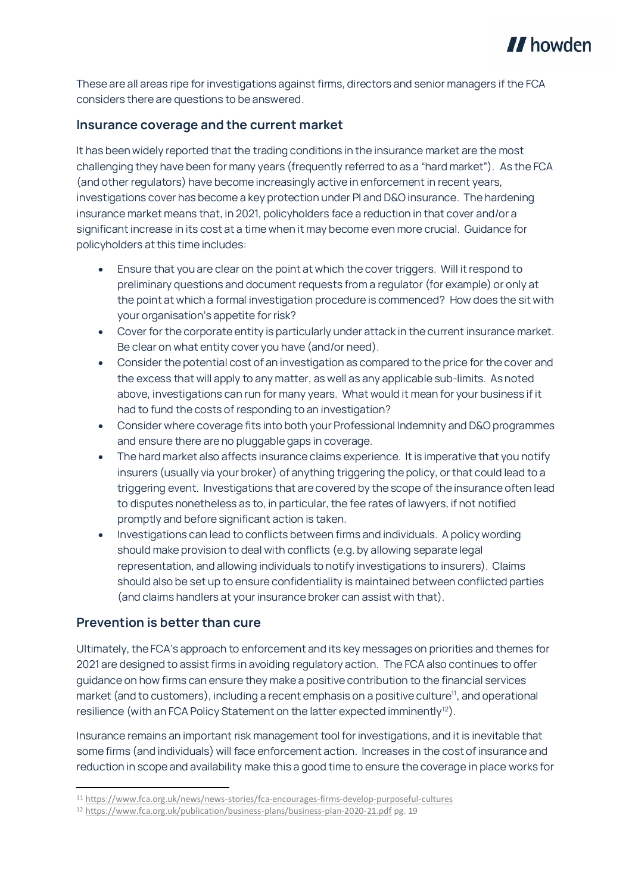

**These are all areas ripe for investigations against firms, directors and senior managers if the FCA considers there are questions to be answered.**

#### **Insurance coverage and the current market**

**It has been widely reported that the trading conditions in the insurance market are the most challenging they have been for many years (frequently referred to as a "hard market"). As the FCA (and other regulators) have become increasingly active in enforcement in recent years, investigations cover has become a key protection under PI and D&O insurance. The hardening insurance market means that, in 2021, policyholders face a reduction in that cover and/or a significant increase in its cost at a time when it may become even more crucial. Guidance for policyholders at this time includes:**

- **Ensure that you are clear on the point at which the cover triggers. Will it respond to preliminary questions and document requests from a regulator (for example) or only at the point at which a formal investigation procedure is commenced? How does the sit with your organisation's appetite for risk?**
- **Cover for the corporate entity is particularly under attack in the current insurance market. Be clear on what entity cover you have (and/or need).**
- **Consider the potential cost of an investigation as compared to the price for the cover and the excess that will apply to any matter, as well as any applicable sub-limits. As noted above, investigations can run for many years. What would it mean for your business if it had to fund the costs of responding to an investigation?**
- **Consider where coverage fits into both your Professional Indemnity and D&O programmes and ensure there are no pluggable gaps in coverage.**
- **The hard market also affects insurance claims experience. It is imperative that you notify insurers (usually via your broker) of anything triggering the policy, or that could lead to a triggering event. Investigations that are covered by the scope of the insurance often lead to disputes nonetheless as to, in particular, the fee rates of lawyers, if not notified promptly and before significant action is taken.**
- **Investigations can lead to conflicts between firms and individuals. A policy wording should make provision to deal with conflicts (e.g. by allowing separate legal representation, and allowing individuals to notify investigations to insurers). Claims should also be set up to ensure confidentiality is maintained between conflicted parties (and claims handlers at your insurance broker can assist with that).**

#### **Prevention is better than cure**

1

**Ultimately, the FCA's approach to enforcement and its key messages on priorities and themes for 2021 are designed to assist firms in avoiding regulatory action. The FCA also continues to offer guidance on how firms can ensure they make a positive contribution to the financial services market (and to customers), including a recent emphasis on a positive culture<sup>11</sup>, and operational resilience (with an FCA Policy Statement on the latter expected imminently<sup>12</sup>).**

**Insurance remains an important risk management tool for investigations, and it is inevitable that some firms (and individuals) will face enforcement action. Increases in the costof insurance and reduction in scope and availability make this a good time to ensure the coverage in place works for** 

<sup>11</sup> <https://www.fca.org.uk/news/news-stories/fca-encourages-firms-develop-purposeful-cultures>

<sup>12</sup> <https://www.fca.org.uk/publication/business-plans/business-plan-2020-21.pdf> pg. 19